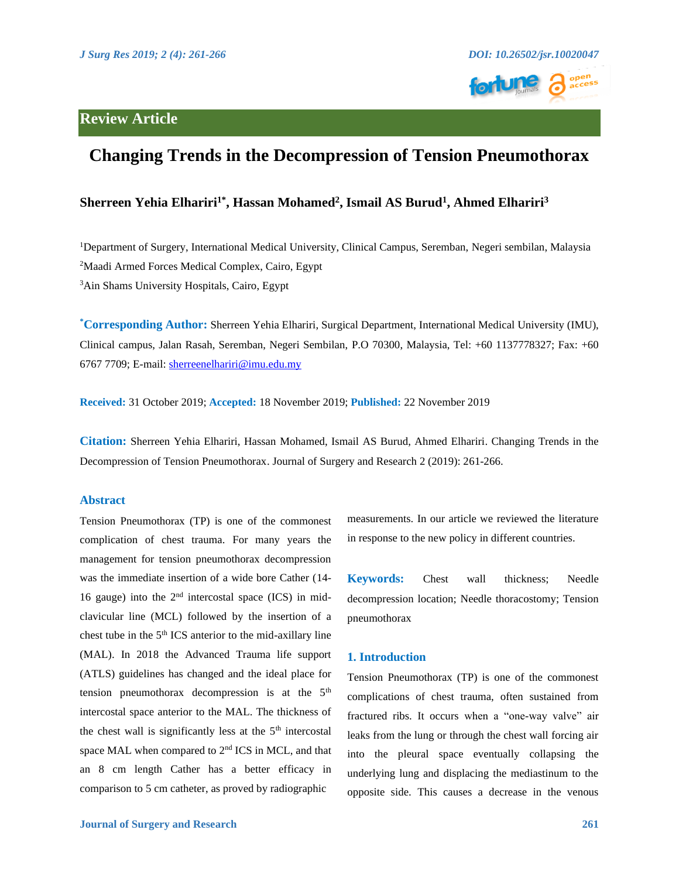

# **Review Article**

# **Changing Trends in the Decompression of Tension Pneumothorax**

### **Sherreen Yehia Elhariri1\* , Hassan Mohamed<sup>2</sup> , Ismail AS Burud<sup>1</sup> , Ahmed Elhariri<sup>3</sup>**

<sup>1</sup>Department of Surgery, International Medical University, Clinical Campus, Seremban, Negeri sembilan, Malaysia <sup>2</sup>Maadi Armed Forces Medical Complex, Cairo, Egypt <sup>3</sup>Ain Shams University Hospitals, Cairo, Egypt

**\*Corresponding Author:** Sherreen Yehia Elhariri, Surgical Department, International Medical University (IMU), Clinical campus, Jalan Rasah, Seremban, Negeri Sembilan, P.O 70300, Malaysia, Tel: +60 1137778327; Fax: +60 6767 7709; E-mail: [sherreenelhariri@imu.edu.my](mailto:sherreenelhariri@imu.edu.my)

**Received:** 31 October 2019; **Accepted:** 18 November 2019; **Published:** 22 November 2019

**Citation:** Sherreen Yehia Elhariri, Hassan Mohamed, Ismail AS Burud, Ahmed Elhariri. Changing Trends in the Decompression of Tension Pneumothorax. Journal of Surgery and Research 2 (2019): 261-266.

#### **Abstract**

Tension Pneumothorax (TP) is one of the commonest complication of chest trauma. For many years the management for tension pneumothorax decompression was the immediate insertion of a wide bore Cather (14- 16 gauge) into the  $2<sup>nd</sup>$  intercostal space (ICS) in midclavicular line (MCL) followed by the insertion of a chest tube in the 5th ICS anterior to the mid-axillary line (MAL). In 2018 the Advanced Trauma life support (ATLS) guidelines has changed and the ideal place for tension pneumothorax decompression is at the 5th intercostal space anterior to the MAL. The thickness of the chest wall is significantly less at the  $5<sup>th</sup>$  intercostal space MAL when compared to 2<sup>nd</sup> ICS in MCL, and that an 8 cm length Cather has a better efficacy in comparison to 5 cm catheter, as proved by radiographic

measurements. In our article we reviewed the literature in response to the new policy in different countries.

**Keywords:** Chest wall thickness; Needle decompression location; Needle thoracostomy; Tension pneumothorax

#### **1. Introduction**

Tension Pneumothorax (TP) is one of the commonest complications of chest trauma, often sustained from fractured ribs. It occurs when a "one-way valve" air leaks from the lung or through the chest wall forcing air into the pleural space eventually collapsing the underlying lung and displacing the mediastinum to the opposite side. This causes a decrease in the venous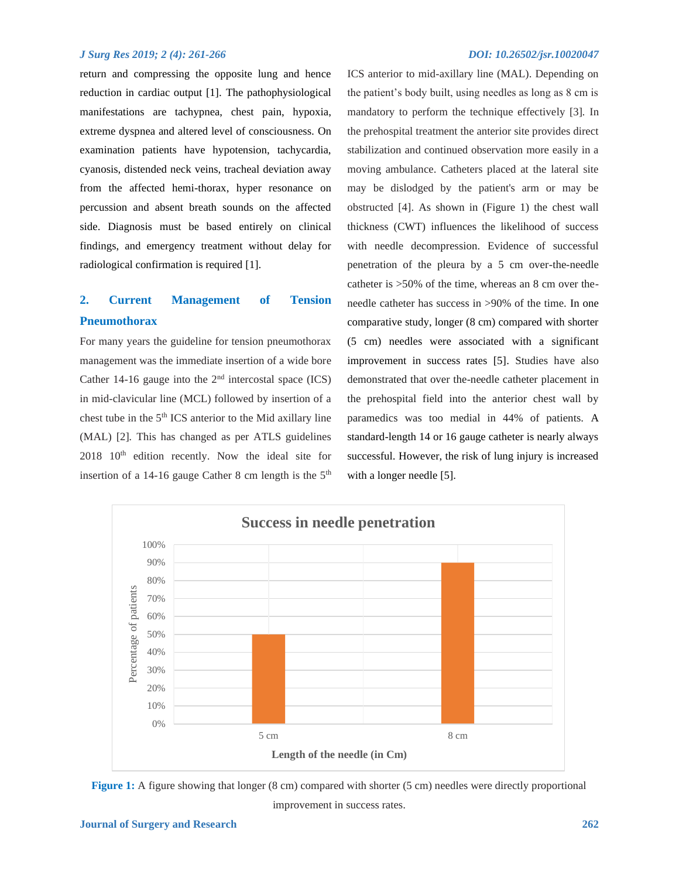return and compressing the opposite lung and hence reduction in cardiac output [1]. The pathophysiological manifestations are tachypnea, chest pain, hypoxia, extreme dyspnea and altered level of consciousness*.* On examination patients have hypotension, tachycardia, cyanosis, distended neck veins, tracheal deviation away from the affected hemi-thorax, hyper resonance on percussion and absent breath sounds on the affected side. Diagnosis must be based entirely on clinical findings, and emergency treatment without delay for radiological confirmation is required [1].

## **2. Current Management of Tension Pneumothorax**

For many years the guideline for tension pneumothorax management was the immediate insertion of a wide bore Cather 14-16 gauge into the  $2<sup>nd</sup>$  intercostal space (ICS) in mid-clavicular line (MCL) followed by insertion of a chest tube in the 5th ICS anterior to the Mid axillary line (MAL) [2]*.* This has changed as per ATLS guidelines  $2018$   $10<sup>th</sup>$  edition recently. Now the ideal site for insertion of a 14-16 gauge Cather 8 cm length is the  $5<sup>th</sup>$ 

ICS anterior to mid-axillary line (MAL). Depending on the patient's body built, using needles as long as 8 cm is mandatory to perform the technique effectively [3]*.* In the prehospital treatment the anterior site provides direct stabilization and continued observation more easily in a moving ambulance. Catheters placed at the lateral site may be dislodged by the patient's arm or may be obstructed [4]. As shown in (Figure 1) the chest wall thickness (CWT) influences the likelihood of success with needle decompression. Evidence of successful penetration of the pleura by a 5 cm over-the-needle catheter is >50% of the time, whereas an 8 cm over theneedle catheter has success in >90% of the time. In one comparative study, longer (8 cm) compared with shorter (5 cm) needles were associated with a significant improvement in success rates [5]. Studies have also demonstrated that over the-needle catheter placement in the prehospital field into the anterior chest wall by paramedics was too medial in 44% of patients. A standard-length 14 or 16 gauge catheter is nearly always successful. However, the risk of lung injury is increased with a longer needle [5].





improvement in success rates.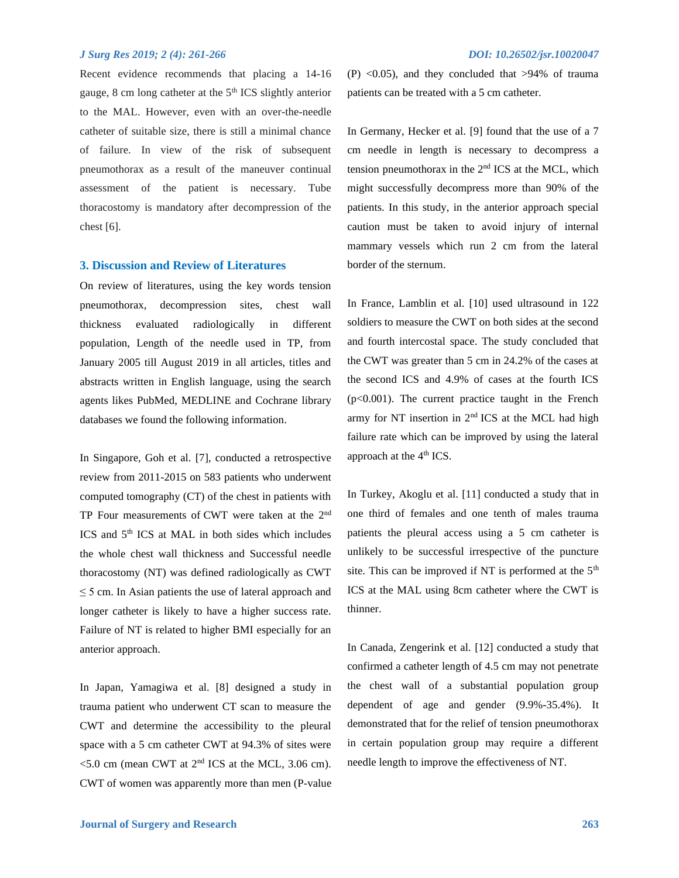Recent evidence recommends that placing a 14-16 gauge, 8 cm long catheter at the 5th ICS slightly anterior to the MAL. However, even with an over-the-needle catheter of suitable size, there is still a minimal chance of failure. In view of the risk of subsequent pneumothorax as a result of the maneuver continual assessment of the patient is necessary. Tube thoracostomy is mandatory after decompression of the chest [6].

#### **3. Discussion and Review of Literatures**

On review of literatures, using the key words tension pneumothorax, decompression sites, chest wall thickness evaluated radiologically in different population, Length of the needle used in TP, from January 2005 till August 2019 in all articles, titles and abstracts written in English language, using the search agents likes PubMed, MEDLINE and Cochrane library databases we found the following information.

In Singapore, Goh et al. [7], conducted a retrospective review from 2011-2015 on 583 patients who underwent computed tomography (CT) of the chest in patients with TP Four measurements of CWT were taken at the 2<sup>nd</sup> ICS and 5<sup>th</sup> ICS at MAL in both sides which includes the whole chest wall thickness and Successful needle thoracostomy (NT) was defined radiologically as CWT  $\leq$  5 cm. In Asian patients the use of lateral approach and longer catheter is likely to have a higher success rate. Failure of NT is related to higher BMI especially for an anterior approach.

In Japan, Yamagiwa et al. [8] designed a study in trauma patient who underwent CT scan to measure the CWT and determine the accessibility to the pleural space with a 5 cm catheter CWT at 94.3% of sites were  $5.0$  cm (mean CWT at  $2<sup>nd</sup>$  ICS at the MCL, 3.06 cm). CWT of women was apparently more than men (P-value (P)  $< 0.05$ ), and they concluded that  $> 94\%$  of trauma patients can be treated with a 5 cm catheter.

In Germany, Hecker et al. [9] found that the use of a 7 cm needle in length is necessary to decompress a tension pneumothorax in the 2nd ICS at the MCL, which might successfully decompress more than 90% of the patients. In this study, in the anterior approach special caution must be taken to avoid injury of internal mammary vessels which run 2 cm from the lateral border of the sternum.

In France, Lamblin et al. [10] used ultrasound in 122 soldiers to measure the CWT on both sides at the second and fourth intercostal space. The study concluded that the CWT was greater than 5 cm in 24.2% of the cases at the second ICS and 4.9% of cases at the fourth ICS  $(p<0.001)$ . The current practice taught in the French army for NT insertion in 2nd ICS at the MCL had high failure rate which can be improved by using the lateral approach at the  $4<sup>th</sup> ICS$ .

In Turkey, Akoglu et al. [11] conducted a study that in one third of females and one tenth of males trauma patients the pleural access using a 5 cm catheter is unlikely to be successful irrespective of the puncture site. This can be improved if NT is performed at the 5<sup>th</sup> ICS at the MAL using 8cm catheter where the CWT is thinner.

In Canada, Zengerink et al. [12] conducted a study that confirmed a catheter length of 4.5 cm may not penetrate the chest wall of a substantial population group dependent of age and gender (9.9%-35.4%). It demonstrated that for the relief of tension pneumothorax in certain population group may require a different needle length to improve the effectiveness of NT.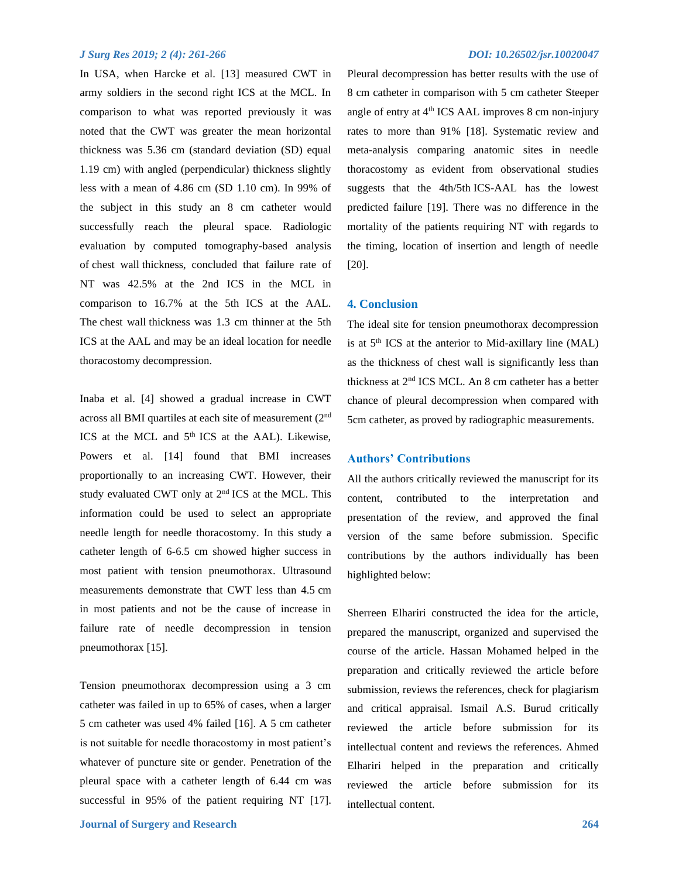In USA, when Harcke et al. [13] measured CWT in army soldiers in the second right ICS at the MCL. In comparison to what was reported previously it was noted that the CWT was greater the mean horizontal thickness was 5.36 cm (standard deviation (SD) equal 1.19 cm) with angled (perpendicular) thickness slightly less with a mean of 4.86 cm (SD 1.10 cm). In 99% of the subject in this study an 8 cm catheter would successfully reach the pleural space. Radiologic evaluation by computed tomography-based analysis of chest wall thickness, concluded that failure rate of NT was 42.5% at the 2nd ICS in the MCL in comparison to 16.7% at the 5th ICS at the AAL. The chest wall thickness was 1.3 cm thinner at the 5th ICS at the AAL and may be an ideal location for needle thoracostomy decompression.

Inaba et al. [4] showed a gradual increase in CWT across all BMI quartiles at each site of measurement (2nd ICS at the MCL and  $5<sup>th</sup>$  ICS at the AAL). Likewise, Powers et al. [14] found that BMI increases proportionally to an increasing CWT. However, their study evaluated CWT only at 2<sup>nd</sup> ICS at the MCL. This information could be used to select an appropriate needle length for needle thoracostomy. In this study a catheter length of 6-6.5 cm showed higher success in most patient with tension pneumothorax. Ultrasound measurements demonstrate that CWT less than 4.5 cm in most patients and not be the cause of increase in failure rate of needle decompression in tension pneumothorax [15].

Tension pneumothorax decompression using a 3 cm catheter was failed in up to 65% of cases, when a larger 5 cm catheter was used 4% failed [16]. A 5 cm catheter is not suitable for needle thoracostomy in most patient's whatever of puncture site or gender. Penetration of the pleural space with a catheter length of 6.44 cm was successful in 95% of the patient requiring NT [17].

Pleural decompression has better results with the use of 8 cm catheter in comparison with 5 cm catheter Steeper angle of entry at  $4<sup>th</sup> ICS AAL$  improves 8 cm non-injury rates to more than 91% [18]. Systematic review and meta-analysis comparing anatomic sites in needle thoracostomy as evident from observational studies suggests that the 4th/5th ICS-AAL has the lowest predicted failure [19]. There was no difference in the mortality of the patients requiring NT with regards to the timing, location of insertion and length of needle [20].

#### **4. Conclusion**

The ideal site for tension pneumothorax decompression is at  $5<sup>th</sup> ICS$  at the anterior to Mid-axillary line (MAL) as the thickness of chest wall is significantly less than thickness at 2nd ICS MCL. An 8 cm catheter has a better chance of pleural decompression when compared with 5cm catheter, as proved by radiographic measurements.

#### **Authors' Contributions**

All the authors critically reviewed the manuscript for its content, contributed to the interpretation and presentation of the review, and approved the final version of the same before submission. Specific contributions by the authors individually has been highlighted below:

Sherreen Elhariri constructed the idea for the article, prepared the manuscript, organized and supervised the course of the article. Hassan Mohamed helped in the preparation and critically reviewed the article before submission, reviews the references, check for plagiarism and critical appraisal. Ismail A.S. Burud critically reviewed the article before submission for its intellectual content and reviews the references. Ahmed Elhariri helped in the preparation and critically reviewed the article before submission for its intellectual content.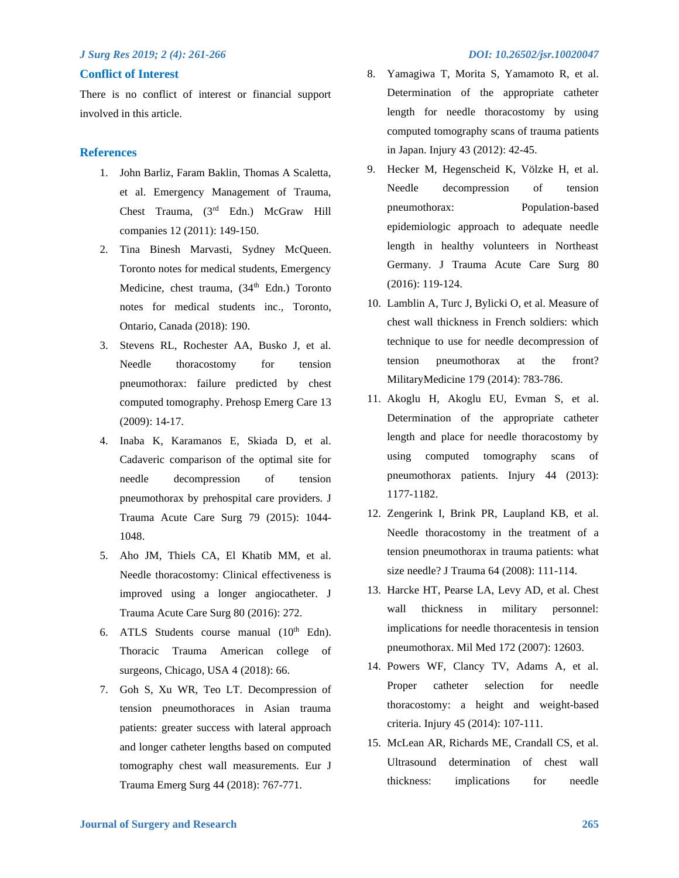#### **Conflict of Interest**

There is no conflict of interest or financial support involved in this article.

### **References**

- 1. John Barliz, Faram Baklin, Thomas A Scaletta, et al. Emergency Management of Trauma, Chest Trauma, (3rd Edn.) McGraw Hill companies 12 (2011): 149-150.
- 2. Tina Binesh Marvasti, Sydney McQueen. Toronto notes for medical students, Emergency Medicine, chest trauma, (34<sup>th</sup> Edn.) Toronto notes for medical students inc., Toronto, Ontario, Canada (2018): 190.
- 3. Stevens RL, Rochester AA, Busko J, et al. Needle thoracostomy for tension pneumothorax: failure predicted by chest computed tomography. Prehosp Emerg Care 13 (2009): 14-17.
- 4. Inaba K, Karamanos E, Skiada D, et al. Cadaveric comparison of the optimal site for needle decompression of tension pneumothorax by prehospital care providers. J Trauma Acute Care Surg 79 (2015): 1044- 1048.
- 5. Aho JM, Thiels CA, El Khatib MM, et al. Needle thoracostomy: Clinical effectiveness is improved using a longer angiocatheter. J Trauma Acute Care Surg 80 (2016): 272.
- 6. ATLS Students course manual  $(10<sup>th</sup>$  Edn). Thoracic Trauma American college of surgeons, Chicago, USA 4 (2018): 66.
- 7. Goh S, Xu WR, Teo LT. Decompression of tension pneumothoraces in Asian trauma patients: greater success with lateral approach and longer catheter lengths based on computed tomography chest wall measurements. Eur J Trauma Emerg Surg 44 (2018): 767-771.

- 8. Yamagiwa T, Morita S, Yamamoto R, et al. Determination of the appropriate catheter length for needle thoracostomy by using computed tomography scans of trauma patients in Japan. Injury 43 (2012): 42-45.
- 9. Hecker M, Hegenscheid K, Völzke H, et al. Needle decompression of tension pneumothorax: Population-based epidemiologic approach to adequate needle length in healthy volunteers in Northeast Germany. J Trauma Acute Care Surg 80 (2016): 119-124.
- 10. Lamblin A, Turc J, Bylicki O, et al. Measure of chest wall thickness in French soldiers: which technique to use for needle decompression of tension pneumothorax at the front? MilitaryMedicine 179 (2014): 783-786.
- 11. Akoglu H, Akoglu EU, Evman S, et al. Determination of the appropriate catheter length and place for needle thoracostomy by using computed tomography scans of pneumothorax patients. Injury 44 (2013): 1177-1182.
- 12. Zengerink I, Brink PR, Laupland KB, et al. Needle thoracostomy in the treatment of a tension pneumothorax in trauma patients: what size needle? J Trauma 64 (2008): 111-114.
- 13. Harcke HT, Pearse LA, Levy AD, et al. Chest wall thickness in military personnel: implications for needle thoracentesis in tension pneumothorax. Mil Med 172 (2007): 12603.
- 14. Powers WF, Clancy TV, Adams A, et al. Proper catheter selection for needle thoracostomy: a height and weight-based criteria. Injury 45 (2014): 107-111.
- 15. McLean AR, Richards ME, Crandall CS, et al. Ultrasound determination of chest wall thickness: implications for needle